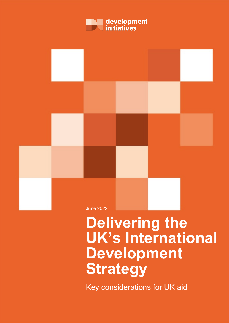



# **Delivering the UK's International Development Strategy**

Key considerations for UK aid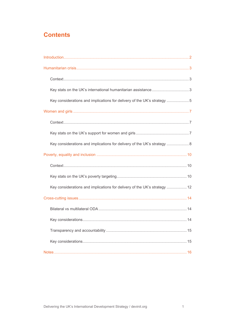## **Contents**

| Key considerations and implications for delivery of the UK's strategy 5   |  |
|---------------------------------------------------------------------------|--|
|                                                                           |  |
|                                                                           |  |
|                                                                           |  |
| Key considerations and implications for delivery of the UK's strategy  8  |  |
|                                                                           |  |
|                                                                           |  |
|                                                                           |  |
| Key considerations and implications for delivery of the UK's strategy  12 |  |
|                                                                           |  |
|                                                                           |  |
|                                                                           |  |
|                                                                           |  |
|                                                                           |  |
|                                                                           |  |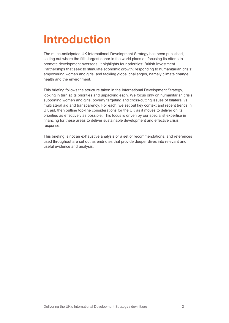# <span id="page-2-0"></span>**Introduction**

The much-anticipated UK International Development Strategy has been published, setting out where the fifth-largest donor in the world plans on focusing its efforts to promote development overseas. It highlights four priorities: British Investment Partnerships that seek to stimulate economic growth; responding to humanitarian crisis; empowering women and girls; and tackling global challenges, namely climate change, health and the environment.

This briefing follows the structure taken in the International Development Strategy, looking in turn at its priorities and unpacking each. We focus only on humanitarian crisis, supporting women and girls, poverty targeting and cross-cutting issues of bilateral vs multilateral aid and transparency. For each, we set out key context and recent trends in UK aid, then outline top-line considerations for the UK as it moves to deliver on its priorities as effectively as possible. This focus is driven by our specialist expertise in financing for these areas to deliver sustainable development and effective crisis response.

This briefing is not an exhaustive analysis or a set of recommendations, and references used throughout are set out as endnotes that provide deeper dives into relevant and useful evidence and analysis.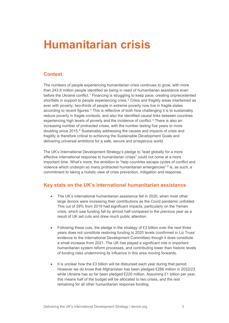## <span id="page-3-0"></span>**Humanitarian crisis**

### <span id="page-3-1"></span>**Context**

The numbers of people experiencing humanitarian crisis continues to grow, with more than 243.8 million people identified as being in need of humanitarian assistance even before the Ukraine conflict.<sup>[1](#page-16-1)</sup> Financing is struggling to keep pace, creating unprecedented shortfalls in support to people experiencing crisis.<sup>[2](#page-16-2)</sup> Crisis and fragility areas intertwined as ever with poverty; two-thirds of people in extreme poverty now live in fragile states according to recent figures.[3](#page-16-3) This is reflective of both how challenging it is to sustainably reduce poverty in fragile contexts, and also the identified causal links between countries experiencing high levels of poverty and the incidence of conflict.[4](#page-16-4) There is also an increasing number of protracted crises, with the number lasting five years or more doubling since 201[5](#page-16-5).<sup>5</sup> Sustainably addressing the causes and impacts of crisis and fragility is therefore critical to achieving the Sustainable Development Goals and delivering universal ambitions for a safe, secure and prosperous world.

The UK's International Development Strategy's pledge to "lead globally for a more effective international response to humanitarian crises" could not come at a more important time. What's more, the ambition to "help countries escape cycles of conflict and violence which underpin so many protracted humanitarian emergencies" [6](#page-16-6) is, as such, a commitment to taking a holistic view of crisis prevention, mitigation and response.

### <span id="page-3-2"></span>**Key stats on the UK's international humanitarian assistance**

- The UK's international humanitarian assistance fell in 2020, when most other large donors were increasing their contributions as the Covid pandemic unfolded. This cut of 29% from 2019 had significant impacts, particularly on the Yemen crisis, which saw funding fall by almost half compared to the previous year as a result of UK aid cuts and drew much public attention.
- Following these cuts, the pledge in the strategy of  $£3$  billion over the next three years does not constitute restoring funding to 2020 levels (confirmed in Liz Truss' evidence to the International Development Committee) though it does constitute a small increase from 2021. The UK has played a significant role in important humanitarian system reform processes, and contributing lower than historic levels of funding risks undermining its influence in this area moving forwards.
- It is unclear how the £3 billion will be disbursed each year during that period. However we do know that Afghanistan has been pledged £286 million in 2022/23 while Ukraine has so far been pledged £220 million. Assuming £1 billion per year, this means half of the budget will be allocated to two crises, and the rest remaining for all other humanitarian response funding.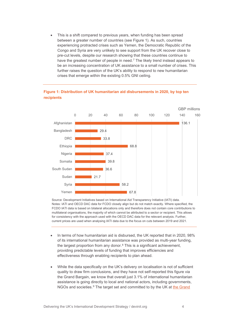This is a shift compared to previous years, when funding has been spread between a greater number of countries (see Figure 1). As such, countries experiencing protracted crises such as Yemen, the Democratic Republic of the Congo and Syria are very unlikely to see support from the UK recover close to pre-cut levels, despite our research showing that these countries continue to have the greatest number of people in need.<sup>[7](#page-16-7)</sup> The likely trend instead appears to be an increasing concentration of UK assistance to a small number of crises. This further raises the question of the UK's ability to respond to new humanitarian crises that emerge within the existing 0.5% GNI ceiling.



#### **Figure 1: Distribution of UK humanitarian aid disbursements in 2020, by top ten recipients**

Source: Development Initiatives based on International Aid Transparency Initiative (IATI) data. Notes: IATI and OECD DAC data for FCDO closely align but do not match exactly. Where specified, the FCDO IATI data is based on bilateral allocations only and therefore does not contain core contributions to multilateral organisations, the majority of which cannot be attributed to a sector or recipient. This allows for consistency with the approach used with the OECD DAC data for the relevant analysis. Further, current prices are used when analysing IATI data due to the focus on cuts between 2019 and 2021.

- In terms of how humanitarian aid is disbursed, the UK reported that in 2020, 98% of its international humanitarian assistance was provided as multi-year funding, the largest proportion from any donor.[8](#page-16-8) This is a significant achievement, providing predictable levels of funding that improves efficiencies and effectiveness through enabling recipients to plan ahead.
- While the data specifically on the UK's delivery on localisation is not of sufficient quality to draw firm conclusions, and they have not self-reported this figure via the Grand Bargain, we know that overall just 3.1% of international humanitarian assistance is going directly to local and national actors, including governments, NGOs and societies.<sup>[9](#page-16-9)</sup> The target set and committed to by the UK at the Grand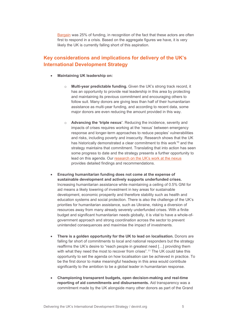[Bargain](https://interagencystandingcommittee.org/greater-transparency) was 25% of funding, in recognition of the fact that these actors are often first to respond in a crisis. Based on the aggregate figures we have, it is very likely the UK is currently falling short of this aspiration.

### <span id="page-5-0"></span>**Key considerations and implications for delivery of the UK's International Development Strategy**

- **Maintaining UK leadership on:**
	- o **Multi-year predictable funding.** Given the UK's strong track record, it has an opportunity to provide real leadership in this area by protecting and maintaining its previous commitment and encouraging others to follow suit. Many donors are giving less than half of their humanitarian assistance as multi-year funding, and according to recent data, some major donors are even reducing the amount provided in this way.
	- o **Advancing the 'triple nexus'**. Reducing the incidence, severity and impacts of crises requires working at the 'nexus' between emergency response and longer-term approaches to reduce peoples' vulnerabilities and risks, including poverty and insecurity. Research shows that the UK has historically demonstrated a clear commitment to this work<sup>[10](#page-16-10)</sup> and the strategy maintains that commitment. Translating that into action has seen some progress to date and the strategy presents a further opportunity to lead on this agenda. Our [research on the UK's work at the nexus](https://devinit.org/resources/questions-considerations-donors-triple-nexus-uk-sweden/conclusions-and-recommendations/) provides detailed findings and recommendations.
- **Ensuring humanitarian funding does not come at the expense of sustainable development and actively supports underfunded crises.** Increasing humanitarian assistance while maintaining a ceiling of 0.5% GNI for aid means a likely lowering of investment in key areas for sustainable development, economic prosperity and therefore stability such as health and education systems and social protection. There is also the challenge of the UK's priorities for humanitarian assistance, such as Ukraine, risking a diversion of resources away from many already severely underfunded crises. With a finite budget and significant humanitarian needs globally, it is vital to have a whole-ofgovernment approach and strong coordination across the sector to prevent unintended consequences and maximise the impact of investments.
- **There is a golden opportunity for the UK to lead on localisation.** Donors are falling far short of commitments to local and national responders but the strategy reaffirms the UK's desire to "reach people in greatest need […] providing them with what they need the most to recover from crises".<sup>[11](#page-16-11)</sup> The UK could take this opportunity to set the agenda on how localisation can be achieved in practice. To be the first donor to make meaningful headway in this area would contribute significantly to the ambition to be a global leader in humanitarian response.
- **Championing transparent budgets, open decision-making and real-time reporting of aid commitments and disbursements.** Aid transparency was a commitment made by the UK alongside many other donors as part of the Grand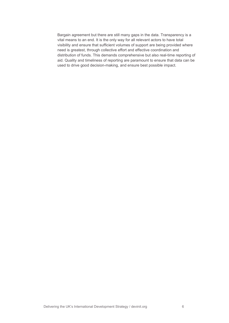Bargain agreement but there are still many gaps in the data. Transparency is a vital means to an end. It is the only way for all relevant actors to have total visibility and ensure that sufficient volumes of support are being provided where need is greatest, through collective effort and effective coordination and distribution of funds. This demands comprehensive but also real-time reporting of aid. Quality and timeliness of reporting are paramount to ensure that data can be used to drive good decision-making, and ensure best possible impact.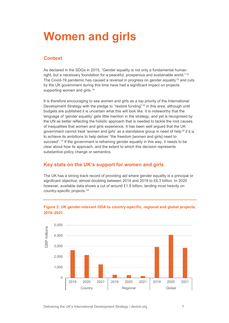# <span id="page-7-0"></span>**Women and girls**

### <span id="page-7-1"></span>**Context**

As declared in the SDGs in 2015, "Gender equality is not only a fundamental human right, but a necessary foundation for a peaceful, prosperous and sustainable world."<sup>[12](#page-16-12)</sup> The Covid-19 pandemic has caused a reversal in progress on gender equality<sup>[13](#page-16-13)</sup> and cuts by the UK government during this time have had a significant impact on projects supporting women and girls.<sup>[14](#page-16-14)</sup>

It is therefore encouraging to see women and girls as a top priority of the International Development Strategy with the pledge to "restore funding"<sup>[15](#page-16-15)</sup> in this area, although until budgets are published it is uncertain what this will look like. It is noteworthy that the language of 'gender equality' gets little mention in the strategy, and yet is recognised by the UN as better reflecting the holistic approach that is needed to tackle the root causes of inequalities that women and girls experience. It has been well argued that the UK government cannot treat 'women and girls' as a standalone group in need of help<sup>[16](#page-16-16)</sup> if it is to achieve its ambitions to help deliver "the freedom [women and girls] need to succeed".<sup>[17](#page-16-17)</sup> If the government is reframing gender equality in this way, it needs to be clear about how its approach, and the extent to which this decision represents substantive policy change or semantics.

### <span id="page-7-2"></span>**Key stats on the UK's support for women and girls**

The UK has a strong track record of providing aid where gender equality is a principal or significant objective, almost doubling between 2014 and 2019 to £6.3 billion. In 2020 however, available data shows a cut of around £1.9 billion, landing most heavily on country-specific projects.[18](#page-16-18)



#### **Figure 2: UK gender-relevant ODA to country-specific, regional and global projects, 2019–2021**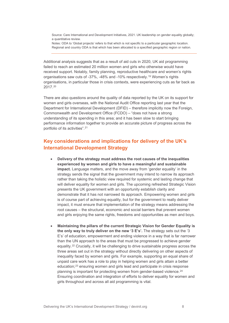Source: Care International and Development Initiatives, 2021. UK leadership on gender equality globally; a quantitative review.

Notes: ODA to 'Global projects' refers to that which is not specific to a particular geographic location. Regional and country ODA is that which has been allocated to a specified geographic region or nation.

Additional analysis suggests that as a result of aid cuts in 2020, UK aid programming failed to reach an estimated 20 million women and girls who otherwise would have received support. Notably, family planning, reproductive healthcare and women's rights organisations saw cuts of -37%, -48% and -10% respectively.[19](#page-16-19) Women's rights organisations, in particular those in crisis contexts, were experiencing cuts as far back as 2017.[20](#page-16-20)

There are also questions around the quality of data reported by the UK on its support for women and girls overseas, with the National Audit Office reporting last year that the Department for International Development (DFID) – therefore implicitly now the Foreign, Commonwealth and Development Office (FCDO) – "does not have a strong understanding of its spending in this area; and it has been slow to start bringing performance information together to provide an accurate picture of progress across the portfolio of its activities".[21](#page-16-21)

## <span id="page-8-0"></span>**Key considerations and implications for delivery of the UK's International Development Strategy**

- **Delivery of the strategy must address the root causes of the inequalities experienced by women and girls to have a meaningful and sustainable impact.** Language matters, and the move away from 'gender equality' in the strategy sends the signal that the government may intend to narrow its approach rather than taking the holistic view required for systemic and lasting change that will deliver equality for women and girls. The upcoming refreshed Strategic Vision presents the UK government with an opportunity establish clarity and demonstrate that it has not narrowed its approach. Empowering women and girls is of course part of achieving equality, but for the government to really deliver impact, it must ensure that implementation of the strategy means addressing the root causes – the structural, economic and social barriers that prevent women and girls enjoying the same rights, freedoms and opportunities as men and boys.
- **Maintaining the pillars of the current Strategic Vision for Gender Equality is the only way to truly deliver on the new '3 E's'.** The strategy sets out the '3 E's' of education, empowerment and ending violence in a way that is far narrower than the UN approach to the areas that must be progressed to achieve gender equality.[22](#page-16-22) Crucially, it will be challenging to drive sustainable progress across the three areas set out in the strategy without directly delivering on other aspects of inequality faced by women and girls. For example, supporting an equal share of unpaid care work has a role to play in helping women and girls attain a better education;[23](#page-16-23) ensuring women and girls lead and participate in crisis response planning is important for protecting women from gender-based violence.<sup>[24](#page-16-24)</sup> Ensuring coordination and integration of efforts to deliver equality for women and girls throughout and across all aid programming is vital.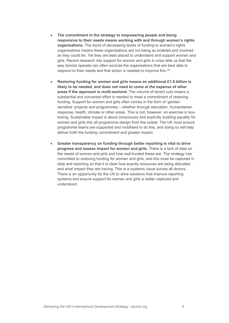- **The commitment in the strategy to empowering people and being responsive to their needs means working with and through women's rights organisations.** The trend of decreasing levels of funding to women's rights organisations means these organisations are not being as enabled and involved as they could be. Yet they are best placed to understand and support women and girls. Recent research into support for women and girls in crisis tells us that the way donors operate can often exclude the organisations that are best able to respond to their needs and that action is needed to improve this.[25](#page-16-25)
- **Restoring funding for women and girls means an additional £1.9 billion is likely to be needed, and does not need to come at the expense of other areas if the approach is multi-sectoral.** The volume of recent cuts means a substantial and concerted effort is needed to meet a commitment of restoring funding. Support for women and girls often comes in the form of 'gendersensitive' projects and programmes – whether through education, humanitarian response, health, climate or other areas. This is not, however, an exercise in boxticking. Sustainable impact is about consciously and explicitly building equality for women and girls into all programme design from the outset. The UK must ensure programme teams are supported and mobilised to do this, and doing so will help deliver both the funding commitment and greater impact.
- **Greater transparency on funding through better reporting is vital to drive progress and assess impact for women and girls.** There is a lack of data on the needs of women and girls and how well-funded these are. The strategy has committed to restoring funding for women and girls, and this must be captured in data and reporting so that it is clear how exactly resources are being allocated and what impact they are having. This is a systemic issue across all donors. There is an opportunity for the UK to drive solutions that improve reporting systems and ensure support for women and girls is better captured and understood.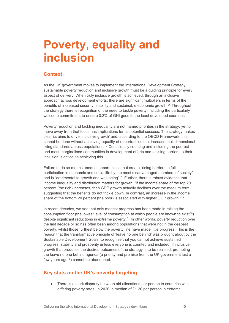## <span id="page-10-0"></span>**Poverty, equality and inclusion**

### <span id="page-10-1"></span>**Context**

As the UK government moves to implement the International Development Strategy, sustainable poverty reduction and inclusive growth must be a guiding principle for every aspect of delivery. When truly inclusive growth is achieved, through an inclusive approach across development efforts, there are significant multipliers in terms of the benefits of increased security, stability and sustainable economic growth.[26](#page-16-26) Throughout the strategy there is recognition of the need to tackle poverty, including the particularly welcome commitment to ensure 0.2% of GNI goes to the least developed countries.

Poverty reduction and tackling inequality are not named priorities in the strategy, yet to move away from that focus has implications for its potential success. The strategy makes clear its aims to drive 'inclusive growth' and, according to the OECD Framework, this cannot be done without achieving equality of opportunities that increase multidimensional living standards across populations.[27](#page-16-27) Consciously counting and including the poorest and most marginalised communities in development efforts and tackling barriers to their inclusion is critical to achieving this.

Failure to do so means unequal opportunities that create "rising barriers to full participation in economic and social life by the most disadvantaged members of society" and is "detrimental to growth and well-being".<sup>[28](#page-16-28)</sup> Further, there is robust evidence that income inequality and distribution matters for growth: "if the income share of the top 20 percent (the rich) increases, then GDP growth actually declines over the medium term, suggesting that the benefits do not trickle down. In contrast, an increase in the income share of the bottom 20 percent (the poor) is associated with higher GDP growth."<sup>[29](#page-16-29)</sup>

In recent decades, we see that only modest progress has been made in raising the consumption floor (the lowest level of consumption at which people are known to exist $30$ ) despite significant reductions in extreme poverty.[31](#page-16-31) In other words, poverty reduction over the last decade or so has often been among populations that were not in the deepest poverty, whilst those furthest below the poverty line have made little progress. This is the reason that the transformative principle of 'leave no one behind' was brought about by the Sustainable Development Goals: to recognise that you cannot achieve sustained progress, stability and prosperity unless everyone is counted and included. If inclusive growth that produces the desired outcomes of the strategy is to be realised, promoting the leave no one behind agenda (a priority and promise from the UK government just a few years  $ago^{32}$  $ago^{32}$  $ago^{32}$ ) cannot be abandoned.

### <span id="page-10-2"></span>**Key stats on the UK's poverty targeting**

• There is a stark disparity between aid allocations per person to countries with differing poverty rates. In 2020, a median of £1.20 per person in extreme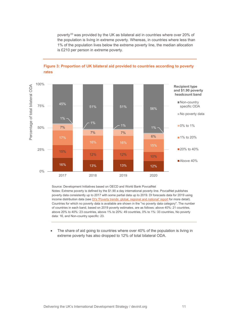poverty<sup>[33](#page-16-33)</sup> was provided by the UK as bilateral aid in countries where over 20% of the population is living in extreme poverty. Whereas, in countries where less than 1% of the population lives below the extreme poverty line, the median allocation is £210 per person in extreme poverty.



#### **Figure 3: Proportion of UK bilateral aid provided to countries according to poverty rates**

Source: Development Initiatives based on OECD and World Bank PovcalNet Notes: Extreme poverty is defined by the \$1.90 a day international poverty line. PovcalNet publishes poverty data consistently up to 2017 with some partial data up to 2019. DI forecasts data for 2019 using income distribution data (se[e DI's 'Poverty trends: global, regional and national' report](https://devinit.org/resources/poverty-trends-global-regional-and-national/) for more detail). Countries for which no poverty data is available are shown in the "no poverty data category". The number of countries in each band, based on 2019 poverty estimates, are as follows: above 40%: 21 countries, above 20% to 40%: 23 countries, above 1% to 20%: 49 countries, 0% to 1%: 33 countries, No poverty data: 16, and Non-country specific: 23.

The share of aid going to countries where over 40% of the population is living in extreme poverty has also dropped to 12% of total bilateral ODA.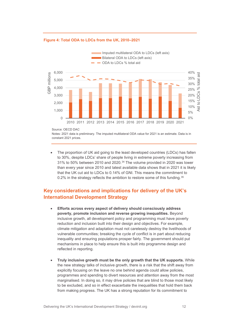#### Imputed multilateral ODA to LDCs (left axis) Bilateral ODA to LDCs (left axis) ODA to LDCs % total aid40% 6,000 **GBP** millions aid GBP millions Aid to LDCs % total aid 35% total 5,000 30% 4,000  $\aleph$ 25% 3,000 20% ll ot 15% 2,000 10% Aid 1,000 5%  $\Omega$ 0% 2010 2011 2012 2013 2014 2015 2016 2017 2018 2019 2020 2021

#### **Figure 4: Total ODA to LDCs from the UK, 2010–2021**

Notes: 2021 data is preliminary. The imputed multilateral ODA value for 2021 is an estimate. Data is in constant 2021 prices.

The proportion of UK aid going to the least developed countries (LDCs) has fallen to 30%, despite LDCs' share of people living in extreme poverty increasing from 31% to 50% between 2010 and 2020.[34](#page-16-34) The volume provided in 2020 was lower than every year since 2010 and latest available data shows that in 2021 it is likely that the UK cut aid to LDCs to 0.14% of GNI. This means the commitment to 0.2% in the strategy reflects the ambition to restore some of this funding.<sup>[35](#page-16-35)</sup>

## <span id="page-12-0"></span>**Key considerations and implications for delivery of the UK's International Development Strategy**

- **Efforts across every aspect of delivery should consciously address poverty, promote inclusion and reverse growing inequalities.** Beyond inclusive growth, all development policy and programming must have poverty reduction and inclusion built into their design and objectives. For example, climate mitigation and adaptation must not carelessly destroy the livelihoods of vulnerable communities; breaking the cycle of conflict is in part about reducing inequality and ensuring populations prosper fairly. The government should put mechanisms in place to help ensure this is built into programme design and reflected in reporting.
- **Truly inclusive growth must be the only growth that the UK supports.** While the new strategy talks of inclusive growth, there is a risk that the shift away from explicitly focusing on the leave no one behind agenda could allow policies, programmes and spending to divert resources and attention away from the most marginalised. In doing so, it may drive policies that are blind to those most likely to be excluded, and so in effect exacerbate the inequalities that hold them back from making progress. The UK has a strong reputation for its commitment to

Source: OECD DAC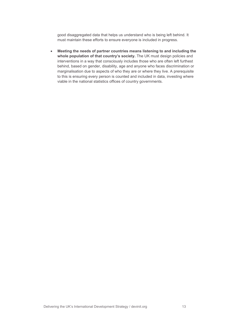good disaggregated data that helps us understand who is being left behind. It must maintain these efforts to ensure everyone is included in progress.

• **Meeting the needs of partner countries means listening to and including the whole population of that country's society.** The UK must design policies and interventions in a way that consciously includes those who are often left furthest behind, based on gender, disability, age and anyone who faces discrimination or marginalisation due to aspects of who they are or where they live. A prerequisite to this is ensuring every person is counted and included in data, investing where viable in the national statistics offices of country governments.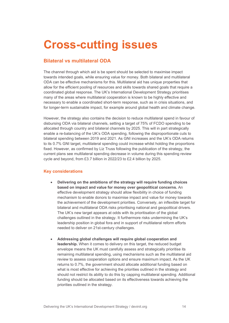# <span id="page-14-0"></span>**Cross-cutting issues**

### <span id="page-14-1"></span>**Bilateral vs multilateral ODA**

The channel through which aid is be spent should be selected to maximise impact towards intended goals, while ensuring value for money. Both bilateral and multilateral ODA can be effective mechanisms for this. Multilateral aid has unique properties that allow for the efficient pooling of resources and skills towards shared goals that require a coordinated global response. The UK's International Development Strategy prioritises many of the areas where multilateral cooperation is known to be highly effective and necessary to enable a coordinated short-term response, such as in crisis situations, and for longer-term sustainable impact, for example around global health and climate change.

However, the strategy also contains the decision to reduce multilateral spend in favour of disbursing ODA via bilateral channels, setting a target of 75% of FCDO spending to be allocated through country and bilateral channels by 2025. This will in part strategically enable a re-balancing of the UK's ODA spending, following the disproportionate cuts to bilateral spending between 2019 and 2021. As GNI increases and the UK's ODA returns to its 0.7% GNI target, multilateral spending could increase whilst holding the proportions fixed. However, as confirmed by Liz Truss following the publication of the strategy, the current plans see multilateral spending decrease in volume during this spending review cycle and beyond, from £3.7 billion in 2022/23 to £2.4 billion by 2025.

#### <span id="page-14-2"></span>**Key considerations**

- **Delivering on the ambitions of the strategy will require funding choices based on impact and value for money over geopolitical concerns.** An effective development strategy should allow flexibility in choice of funding mechanism to enable donors to maximise impact and value for money towards the achievement of the development priorities. Conversely, an inflexible target for bilateral and multilateral ODA risks prioritising national and geopolitical drivers. The UK's new target appears at odds with its prioritisation of the global challenges outlined in the strategy. It furthermore risks undermining the UK's leadership position in global fora and in support of multilateral reform efforts needed to deliver on 21st-century challenges.
- **Addressing global challenges will require global cooperation and leadership.** When it comes to delivery on this target, the reduced budget envelope means the UK must carefully assess and strategically prioritise its remaining multilateral spending, using mechanisms such as the multilateral aid review to assess cooperation options and ensure maximum impact. As the UK returns to 0.7%, the government should allocate additional funding based on what is most effective for achieving the priorities outlined in the strategy and should not restrict its ability to do this by capping multilateral spending. Additional funding should be allocated based on its effectiveness towards achieving the priorities outlined in the strategy.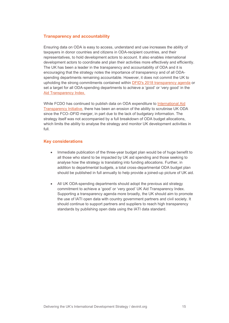#### <span id="page-15-0"></span>**Transparency and accountability**

Ensuring data on ODA is easy to access, understand and use increases the ability of taxpayers in donor countries and citizens in ODA-recipient countries, and their representatives, to hold development actors to account. It also enables international development actors to coordinate and plan their activities more effectively and efficiently. The UK has been a leader in the transparency and accountability of ODA and it is encouraging that the strategy notes the importance of transparency and of all ODAspending departments remaining accountable. However, it does not commit the UK to upholding the strong commitments contained within [DFID's 2018 transparency agenda](https://www.gov.uk/government/publications/open-aid-open-societies-a-vision-for-a-transparent-world) or set a target for all ODA-spending departments to achieve a 'good' or 'very good' in the [Aid Transparency Index.](https://www.publishwhatyoufund.org/the-index/2020/)

While FCDO has continued to publish data on ODA expenditure to [International Aid](https://iatistandard.org/en/)  [Transparency Initiative,](https://iatistandard.org/en/) there has been an erosion of the ability to scrutinise UK ODA since the FCO–DFID merger, in part due to the lack of budgetary information. The strategy itself was not accompanied by a full breakdown of ODA budget allocations, which limits the ability to analyse the strategy and monitor UK development activities in full.

#### <span id="page-15-1"></span>**Key considerations**

- Immediate publication of the three-year budget plan would be of huge benefit to all those who stand to be impacted by UK aid spending and those seeking to analyse how the strategy is translating into funding allocations. Further, in addition to departmental budgets, a total cross-departmental ODA budget plan should be published in full annually to help provide a joined-up picture of UK aid.
- All UK ODA-spending departments should adopt the previous aid strategy commitment to achieve a 'good' or 'very good' UK Aid Transparency Index. Supporting a transparency agenda more broadly, the UK should aim to promote the use of IATI open data with country government partners and civil society. It should continue to support partners and suppliers to reach high transparency standards by publishing open data using the IATI data standard.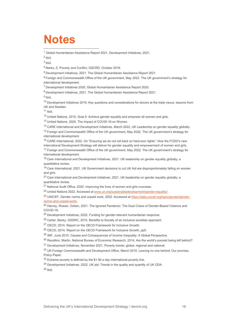# <span id="page-16-0"></span>**Notes**

<span id="page-16-1"></span><sup>1</sup> Global Humanitarian Assistance Report 2021, Development Initiatives, 2021.

<sup>2</sup> Ibid.

<span id="page-16-3"></span><span id="page-16-2"></span> $3$  Ibid.

<span id="page-16-4"></span><sup>4</sup> Marks, Z, Poverty and Conflict, GSCRD, October 2016.

<sup>5</sup> Development Initiatives, 2021. The Global Humanitarian Assistance Report 2021.

<span id="page-16-6"></span><span id="page-16-5"></span> $6$  Foreign and Commonwealth Office of the UK government, May 2022. The UK government's strategy for international development.

<span id="page-16-7"></span><sup>7</sup> Development Initiatives 2020, Global Humanitarian Assistance Report 2020.

<span id="page-16-8"></span><sup>8</sup> Development Initiatives, 2021. The Global Humanitarian Assistance Report 2021.

<span id="page-16-9"></span> $9$  Ibid.

<span id="page-16-10"></span><sup>10</sup> Development Initiatives 2019. Key questions and considerations for donors at the triple nexus: lessons from UK and Sweden.

<span id="page-16-11"></span> $11$  Ibid.

<span id="page-16-12"></span><sup>12</sup> United Nations, 2015. Goal 5: Achieve gender equality and empower all women and girls.

<span id="page-16-13"></span><sup>13</sup> United Nations, 2020. The Impact of COVID-19 on Women.

<span id="page-16-14"></span><sup>14</sup> CARE International and Development Initiatives, March 2022. UK Leadership on gender equality globally.

<span id="page-16-15"></span><sup>15</sup> Foreign and Commonwealth Office of the UK government, May 2022. The UK government's strategy for international development.

<span id="page-16-16"></span><sup>16</sup> CARE International, 2022. On "Ensuring we do not roll back on hard-won rights": How the FCDO's new International Development Strategy will deliver for gender equality and empowerment of women and girls.

<span id="page-16-17"></span><sup>17</sup> Foreign and Commonwealth Office of the UK government, May 2022. The UK government's strategy for international development.

<span id="page-16-18"></span><sup>18</sup> Care International and Development Initiatives, 2021. UK leadership on gender equality globally; a quantitative review.

<span id="page-16-19"></span><sup>19</sup> Care International, 2021. UK Government decisions to cut UK Aid are disproportionately falling on women and girls.

<span id="page-16-20"></span><sup>20</sup> Care International and Development Initiatives, 2021. UK leadership on gender equality globally; a quantitative review.

<span id="page-16-21"></span><sup>21</sup> National Audit Office, 2020. Improving the lives of women and girls overseas.

<sup>22</sup> United Nations 2022. Accessed at [www.un.org/sustainabledevelopment/gender-equality/.](https://www.un.org/sustainabledevelopment/gender-equality/)

<span id="page-16-23"></span><span id="page-16-22"></span><sup>23</sup> UNICEF, Gender norms and unpaid work, 2022. Accessed a[t https://data.unicef.org/topic/gender/gender](https://data.unicef.org/topic/gender/gender-norms-and-unpaid-work/)[norms-and-unpaid-work/.](https://data.unicef.org/topic/gender/gender-norms-and-unpaid-work/)

<span id="page-16-24"></span><sup>24</sup> Harvev. Rowan, Oxfam, 2021. The Ignored Pandemic: The Dual Crises of Gender-Based Violence and COVID-19.

<span id="page-16-25"></span><sup>25</sup> Development Initiatives, 2022. Funding for gender-relevant humanitarian response.

<span id="page-16-26"></span><sup>26</sup> Carter, Becky, GSDRC, 2015. Benefits to Society of an inclusive societies approach.

<span id="page-16-27"></span><sup>27</sup> OECD, 2014. Report on the OECD Framework for Inclusive Growth.

<span id="page-16-28"></span><sup>28</sup> OECD, 2014. Report on the OECD Framework for Inclusive Growth, pp5.

<span id="page-16-29"></span><sup>29</sup> IMF, June 2015. Causes and Consequences of Income Inequality: A Global Perspective.

<sup>30</sup> Ravallion, Martin, National Bureau of Economic Research, 2014, Are the world's poorest being left behind?

<span id="page-16-31"></span><span id="page-16-30"></span><sup>31</sup> Development Initiatives, November 2021. Poverty trends: global, regional and national.

<span id="page-16-32"></span><sup>32</sup> UK Foreian Commonwealth and Development Office, March 2019. Leaving no one behind: Our promise, Policy Paper.

<span id="page-16-33"></span> $33$  Extreme poverty is defined by the \$1.90 a day international poverty line.

<sup>34</sup> Development Initiatives, 2022. UK aid: Trends in the quality and quantity of UK ODA.

<span id="page-16-35"></span><span id="page-16-34"></span><sup>35</sup> Ibid.